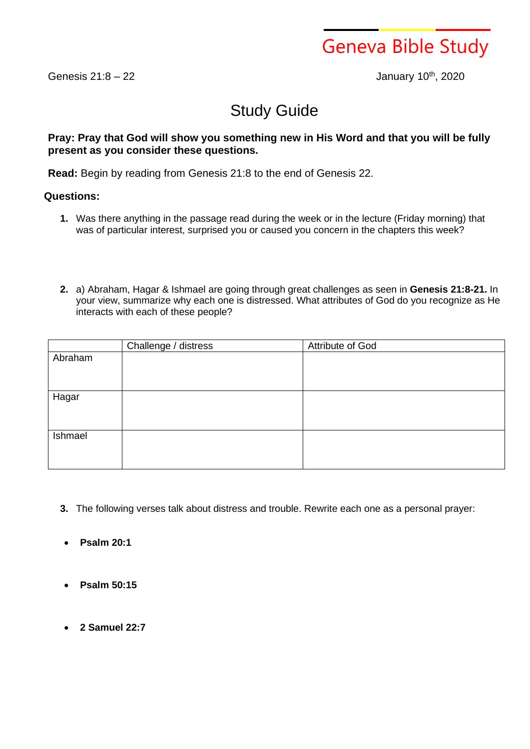

Genesis  $21:8 - 22$ 

January 10th, 2020

## Study Guide

## **Pray: Pray that God will show you something new in His Word and that you will be fully present as you consider these questions.**

**Read:** Begin by reading from Genesis 21:8 to the end of Genesis 22.

## **Questions:**

- **1.** Was there anything in the passage read during the week or in the lecture (Friday morning) that was of particular interest, surprised you or caused you concern in the chapters this week?
- **2.** a) Abraham, Hagar & Ishmael are going through great challenges as seen in **Genesis 21:8-21.** In your view, summarize why each one is distressed. What attributes of God do you recognize as He interacts with each of these people?

|         | Challenge / distress | Attribute of God |
|---------|----------------------|------------------|
| Abraham |                      |                  |
|         |                      |                  |
|         |                      |                  |
|         |                      |                  |
| Hagar   |                      |                  |
|         |                      |                  |
|         |                      |                  |
| Ishmael |                      |                  |
|         |                      |                  |
|         |                      |                  |
|         |                      |                  |

- **3.** The following verses talk about distress and trouble. Rewrite each one as a personal prayer:
- **Psalm 20:1**
- **Psalm 50:15**
- **2 Samuel 22:7**